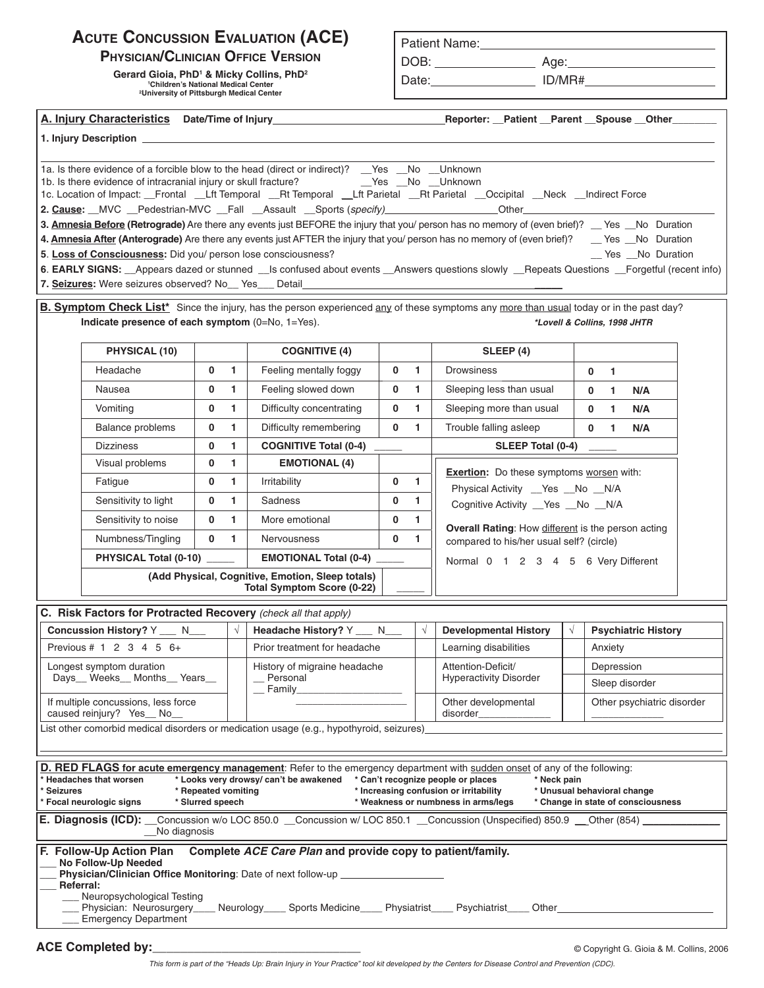# **ACUTE CONCUSSION EVALUATION (ACE)**

**PHYSICIAN/CLINICIAN OFFICE VERSION** 

**Gerard Gioia, PhD1 & Micky Collins, PhD2 1 Children's National Medical Center** 

**2 University of Pittsburgh Medical Center** 

## **Patient Name:**

DOB: **Age:** Age:

Date: **ID/MR#** 

| <sup>2</sup> University of Pittsburgh Medical Center             |                                                                                       |                                         |              |                                                                                                                                                                                                                                                                                                                                                                                                                                                                                                                                                                                                                                                                  |             |                |                                                                                                                                    |            |                |                                                                   |  |  |
|------------------------------------------------------------------|---------------------------------------------------------------------------------------|-----------------------------------------|--------------|------------------------------------------------------------------------------------------------------------------------------------------------------------------------------------------------------------------------------------------------------------------------------------------------------------------------------------------------------------------------------------------------------------------------------------------------------------------------------------------------------------------------------------------------------------------------------------------------------------------------------------------------------------------|-------------|----------------|------------------------------------------------------------------------------------------------------------------------------------|------------|----------------|-------------------------------------------------------------------|--|--|
|                                                                  |                                                                                       |                                         |              |                                                                                                                                                                                                                                                                                                                                                                                                                                                                                                                                                                                                                                                                  |             |                |                                                                                                                                    |            |                |                                                                   |  |  |
|                                                                  |                                                                                       |                                         |              | 1. Injury Description <b>Example 2018 Contract Contract Contract Contract Contract Contract Contract Contract Contract Contract Contract Contract Contract Contract Contract Contract Contract Contract Contract Contract Cont</b>                                                                                                                                                                                                                                                                                                                                                                                                                               |             |                |                                                                                                                                    |            |                |                                                                   |  |  |
|                                                                  | 5. Loss of Consciousness: Did you/ person lose consciousness?                         |                                         |              | 1a. Is there evidence of a forcible blow to the head (direct or indirect)? __ Yes __ No __ Unknown<br>1c. Location of Impact: __Frontal __Lft Temporal __Rt Temporal __Lft Parietal __Rt Parietal __Occipital __Neck __Indirect Force<br>2. Cause: MVC Pedestrian-MVC Fall Assault Sports (specify) Communication Communication Communication Communication<br>3. Amnesia Before (Retrograde) Are there any events just BEFORE the injury that you/ person has no memory of (even brief)? __ Yes __ No Duration<br>4. Amnesia After (Anterograde) Are there any events just AFTER the injury that you/ person has no memory of (even brief)? __ Yes _No Duration |             |                |                                                                                                                                    |            |                | _ Yes _No Duration                                                |  |  |
|                                                                  | 7. Seizures: Were seizures observed? No_ Yes_ Detail                                  |                                         |              | 6. EARLY SIGNS: _Appears dazed or stunned _Is confused about events _Answers questions slowly _Repeats Questions _Forgetful (recent info)                                                                                                                                                                                                                                                                                                                                                                                                                                                                                                                        |             |                | the control of the control of the control of the control of the control of the                                                     |            |                |                                                                   |  |  |
|                                                                  | Indicate presence of each symptom (0=No, 1=Yes).                                      |                                         |              | B. Symptom Check List <sup>*</sup> Since the injury, has the person experienced any of these symptoms any more than usual today or in the past day?                                                                                                                                                                                                                                                                                                                                                                                                                                                                                                              |             |                |                                                                                                                                    |            |                | *Lovell & Collins, 1998 JHTR                                      |  |  |
|                                                                  | <b>PHYSICAL (10)</b>                                                                  |                                         |              | <b>COGNITIVE (4)</b>                                                                                                                                                                                                                                                                                                                                                                                                                                                                                                                                                                                                                                             |             |                | SLEEP(4)                                                                                                                           |            |                |                                                                   |  |  |
|                                                                  | Headache                                                                              | 0                                       | $\mathbf{1}$ | Feeling mentally foggy                                                                                                                                                                                                                                                                                                                                                                                                                                                                                                                                                                                                                                           | $\mathbf 0$ | $\overline{1}$ | <b>Drowsiness</b>                                                                                                                  |            | $\mathbf 0$    | $\overline{1}$                                                    |  |  |
|                                                                  | Nausea                                                                                | 0                                       | 1.           | Feeling slowed down                                                                                                                                                                                                                                                                                                                                                                                                                                                                                                                                                                                                                                              | 0           | 1              | Sleeping less than usual                                                                                                           |            | $\mathbf 0$    | N/A<br>$\mathbf{1}$                                               |  |  |
|                                                                  | Vomiting                                                                              | 0                                       | $\mathbf{1}$ | Difficulty concentrating                                                                                                                                                                                                                                                                                                                                                                                                                                                                                                                                                                                                                                         | $\mathbf 0$ | $\mathbf{1}$   | Sleeping more than usual                                                                                                           |            | $\mathbf{0}$   | $\overline{1}$<br>N/A                                             |  |  |
|                                                                  | Balance problems                                                                      | 0                                       | $\mathbf{1}$ | Difficulty remembering                                                                                                                                                                                                                                                                                                                                                                                                                                                                                                                                                                                                                                           | $\mathbf 0$ | $\mathbf{1}$   | Trouble falling asleep                                                                                                             |            | $\mathbf{0}$   | $\mathbf{1}$<br>N/A                                               |  |  |
|                                                                  | <b>Dizziness</b>                                                                      | 0                                       | $\mathbf{1}$ | <b>COGNITIVE Total (0-4)</b>                                                                                                                                                                                                                                                                                                                                                                                                                                                                                                                                                                                                                                     |             |                | SLEEP Total (0-4)                                                                                                                  |            |                |                                                                   |  |  |
|                                                                  | Visual problems                                                                       | 0                                       | $\mathbf{1}$ | <b>EMOTIONAL (4)</b>                                                                                                                                                                                                                                                                                                                                                                                                                                                                                                                                                                                                                                             |             |                |                                                                                                                                    |            |                |                                                                   |  |  |
|                                                                  | Fatigue                                                                               | 0                                       | $\mathbf{1}$ | Irritability                                                                                                                                                                                                                                                                                                                                                                                                                                                                                                                                                                                                                                                     | $\mathbf 0$ | $\mathbf{1}$   | <b>Exertion:</b> Do these symptoms worsen with:<br>Physical Activity _Yes _No _N/A                                                 |            |                |                                                                   |  |  |
|                                                                  | Sensitivity to light                                                                  | 0                                       | $\mathbf{1}$ | Sadness                                                                                                                                                                                                                                                                                                                                                                                                                                                                                                                                                                                                                                                          | 0           | 1              | Cognitive Activity __Yes __No __N/A                                                                                                |            |                |                                                                   |  |  |
|                                                                  | Sensitivity to noise                                                                  | 0                                       | $\mathbf{1}$ | More emotional                                                                                                                                                                                                                                                                                                                                                                                                                                                                                                                                                                                                                                                   | 0           | $\mathbf{1}$   |                                                                                                                                    |            |                |                                                                   |  |  |
|                                                                  | Numbness/Tingling                                                                     | $\mathbf{0}$                            | 1.           | Nervousness                                                                                                                                                                                                                                                                                                                                                                                                                                                                                                                                                                                                                                                      | 0           | 1              | Overall Rating: How different is the person acting<br>compared to his/her usual self? (circle)                                     |            |                |                                                                   |  |  |
|                                                                  | PHYSICAL Total (0-10) _____                                                           |                                         |              | <b>EMOTIONAL Total (0-4)</b>                                                                                                                                                                                                                                                                                                                                                                                                                                                                                                                                                                                                                                     |             |                | Normal 0 1 2 3 4 5 6 Very Different                                                                                                |            |                |                                                                   |  |  |
|                                                                  | (Add Physical, Cognitive, Emotion, Sleep totals)<br><b>Total Symptom Score (0-22)</b> |                                         |              |                                                                                                                                                                                                                                                                                                                                                                                                                                                                                                                                                                                                                                                                  |             |                |                                                                                                                                    |            |                |                                                                   |  |  |
|                                                                  | C. Risk Factors for Protracted Recovery (check all that apply)                        |                                         |              |                                                                                                                                                                                                                                                                                                                                                                                                                                                                                                                                                                                                                                                                  |             |                |                                                                                                                                    |            |                |                                                                   |  |  |
| Concussion History? Y ___ N___                                   |                                                                                       |                                         | $\sqrt{ }$   | Headache History? Y __ N__                                                                                                                                                                                                                                                                                                                                                                                                                                                                                                                                                                                                                                       |             | $\sqrt{ }$     | <b>Developmental History</b>                                                                                                       | $\sqrt{ }$ |                | <b>Psychiatric History</b>                                        |  |  |
|                                                                  | Previous # $1 \t2 \t3 \t4 \t5 \t6+$                                                   |                                         |              | Prior treatment for headache                                                                                                                                                                                                                                                                                                                                                                                                                                                                                                                                                                                                                                     |             |                | Learning disabilities                                                                                                              |            |                | Anxiety                                                           |  |  |
| Longest symptom duration<br>Days_ Weeks_ Months_ Years_          |                                                                                       |                                         |              | History of migraine headache                                                                                                                                                                                                                                                                                                                                                                                                                                                                                                                                                                                                                                     |             |                | Attention-Deficit/                                                                                                                 |            |                | Depression                                                        |  |  |
|                                                                  |                                                                                       |                                         |              | __ Personal<br>$\_$ Family                                                                                                                                                                                                                                                                                                                                                                                                                                                                                                                                                                                                                                       |             |                | <b>Hyperactivity Disorder</b>                                                                                                      |            | Sleep disorder |                                                                   |  |  |
| If multiple concussions, less force<br>caused reinjury? Yes_ No_ |                                                                                       |                                         |              |                                                                                                                                                                                                                                                                                                                                                                                                                                                                                                                                                                                                                                                                  |             |                | Other developmental<br>disorder_                                                                                                   |            |                | Other psychiatric disorder                                        |  |  |
|                                                                  |                                                                                       |                                         |              | List other comorbid medical disorders or medication usage (e.g., hypothyroid, seizures)                                                                                                                                                                                                                                                                                                                                                                                                                                                                                                                                                                          |             |                |                                                                                                                                    |            |                |                                                                   |  |  |
|                                                                  |                                                                                       |                                         |              |                                                                                                                                                                                                                                                                                                                                                                                                                                                                                                                                                                                                                                                                  |             |                |                                                                                                                                    |            |                |                                                                   |  |  |
| * Seizures                                                       | * Headaches that worsen<br>* Focal neurologic signs<br>E. Diagnosis (ICD):            | * Repeated vomiting<br>* Slurred speech |              | D. RED FLAGS for acute emergency management: Refer to the emergency department with sudden onset of any of the following:<br>* Looks very drowsy/ can't be awakened<br>Concussion w/o LOC 850.0 Concussion w/ LOC 850.1 Concussion (Unspecified) 850.9 Cher (854)                                                                                                                                                                                                                                                                                                                                                                                                |             |                | * Can't recognize people or places<br>* Neck pain<br>* Increasing confusion or irritability<br>* Weakness or numbness in arms/legs |            |                | * Unusual behavioral change<br>* Change in state of consciousness |  |  |
|                                                                  | No diagnosis                                                                          |                                         |              |                                                                                                                                                                                                                                                                                                                                                                                                                                                                                                                                                                                                                                                                  |             |                |                                                                                                                                    |            |                |                                                                   |  |  |
| Referral:                                                        | F. Follow-Up Action Plan<br>No Follow-Up Needed                                       |                                         |              | Complete ACE Care Plan and provide copy to patient/family.<br><b>Physician/Clinician Office Monitoring:</b> Date of next follow-up                                                                                                                                                                                                                                                                                                                                                                                                                                                                                                                               |             |                |                                                                                                                                    |            |                |                                                                   |  |  |

| ___ Physician: Neurosurgery____ Neurology____ Sports Medicine____ Physiatrist____ Psychiatrist____ Other_ |  |  |  |
|-----------------------------------------------------------------------------------------------------------|--|--|--|
| ___ Emergency Department                                                                                  |  |  |  |

**ACE Completed by:**<br> **ACE Completed by:** entering the state of the state of the state of the state of the state of the state of the state of the state of the state of the state of the state of the state of the state of the

*This form is part of the "Heads Up: Brain Injury in Your Practice" tool kit developed by the Centers for Disease Control and Prevention (CDC).*